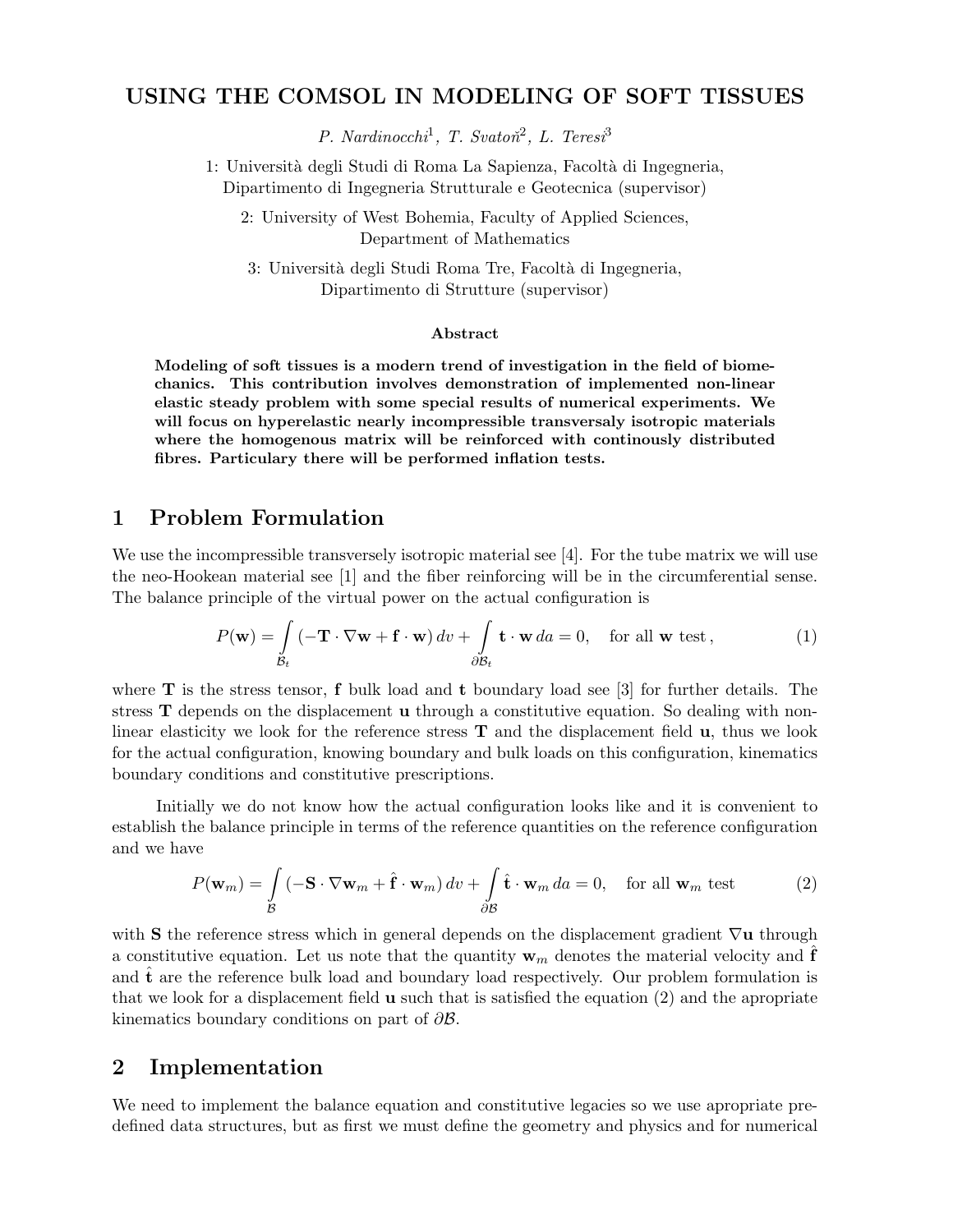# USING THE COMSOL IN MODELING OF SOFT TISSUES

P. Nardinocchi<sup>1</sup>, T. Svatoň<sup>2</sup>, L. Teresi<sup>3</sup>

1: Universit`a degli Studi di Roma La Sapienza, Facolt`a di Ingegneria, Dipartimento di Ingegneria Strutturale e Geotecnica (supervisor)

2: University of West Bohemia, Faculty of Applied Sciences, Department of Mathematics

3: Università degli Studi Roma Tre, Facoltà di Ingegneria, Dipartimento di Strutture (supervisor)

#### Abstract

Modeling of soft tissues is a modern trend of investigation in the field of biomechanics. This contribution involves demonstration of implemented non-linear elastic steady problem with some special results of numerical experiments. We will focus on hyperelastic nearly incompressible transversaly isotropic materials where the homogenous matrix will be reinforced with continously distributed fibres. Particulary there will be performed inflation tests.

### 1 Problem Formulation

We use the incompressible transversely isotropic material see [4]. For the tube matrix we will use the neo-Hookean material see [1] and the fiber reinforcing will be in the circumferential sense. The balance principle of the virtual power on the actual configuration is

$$
P(\mathbf{w}) = \int_{\mathcal{B}_t} (-\mathbf{T} \cdot \nabla \mathbf{w} + \mathbf{f} \cdot \mathbf{w}) dv + \int_{\partial \mathcal{B}_t} \mathbf{t} \cdot \mathbf{w} da = 0, \text{ for all } \mathbf{w} \text{ test},
$$
 (1)

where  $\bf{T}$  is the stress tensor,  $\bf{f}$  bulk load and  $\bf{t}$  boundary load see [3] for further details. The stress T depends on the displacement u through a constitutive equation. So dealing with nonlinear elasticity we look for the reference stress  $\bf{T}$  and the displacement field  $\bf{u}$ , thus we look for the actual configuration, knowing boundary and bulk loads on this configuration, kinematics boundary conditions and constitutive prescriptions.

Initially we do not know how the actual configuration looks like and it is convenient to establish the balance principle in terms of the reference quantities on the reference configuration and we have

$$
P(\mathbf{w}_m) = \int_{\mathcal{B}} \left( -\mathbf{S} \cdot \nabla \mathbf{w}_m + \hat{\mathbf{f}} \cdot \mathbf{w}_m \right) dv + \int_{\partial \mathcal{B}} \hat{\mathbf{t}} \cdot \mathbf{w}_m \, da = 0, \quad \text{for all } \mathbf{w}_m \text{ test}
$$
 (2)

with S the reference stress which in general depends on the displacement gradient  $\nabla u$  through a constitutive equation. Let us note that the quantity  $w_m$  denotes the material velocity and  $f$ and  **are the reference bulk load and boundary load respectively. Our problem formulation is** that we look for a displacement field  $\bf{u}$  such that is satisfied the equation (2) and the apropriate kinematics boundary conditions on part of ∂B.

## 2 Implementation

We need to implement the balance equation and constitutive legacies so we use apropriate predefined data structures, but as first we must define the geometry and physics and for numerical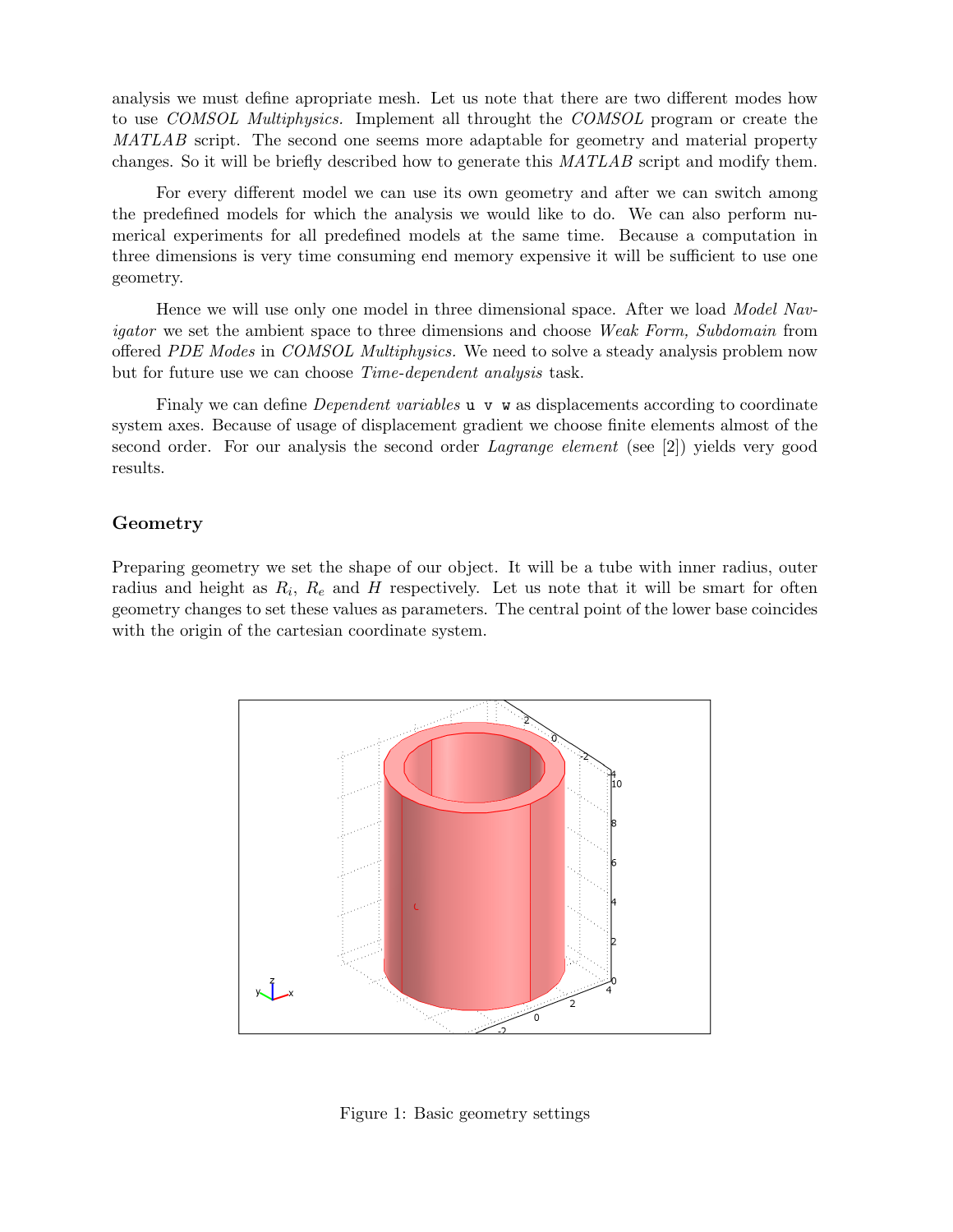analysis we must define apropriate mesh. Let us note that there are two different modes how to use COMSOL Multiphysics. Implement all throught the COMSOL program or create the MATLAB script. The second one seems more adaptable for geometry and material property changes. So it will be briefly described how to generate this MATLAB script and modify them.

For every different model we can use its own geometry and after we can switch among the predefined models for which the analysis we would like to do. We can also perform numerical experiments for all predefined models at the same time. Because a computation in three dimensions is very time consuming end memory expensive it will be sufficient to use one geometry.

Hence we will use only one model in three dimensional space. After we load Model Navigator we set the ambient space to three dimensions and choose Weak Form, Subdomain from offered PDE Modes in COMSOL Multiphysics. We need to solve a steady analysis problem now but for future use we can choose Time-dependent analysis task.

Finaly we can define *Dependent variables*  $\bf{u}$   $\bf{v}$   $\bf{w}$  as displacements according to coordinate system axes. Because of usage of displacement gradient we choose finite elements almost of the second order. For our analysis the second order Lagrange element (see [2]) yields very good results.

#### Geometry

Preparing geometry we set the shape of our object. It will be a tube with inner radius, outer radius and height as  $R_i$ ,  $R_e$  and H respectively. Let us note that it will be smart for often geometry changes to set these values as parameters. The central point of the lower base coincides with the origin of the cartesian coordinate system.



Figure 1: Basic geometry settings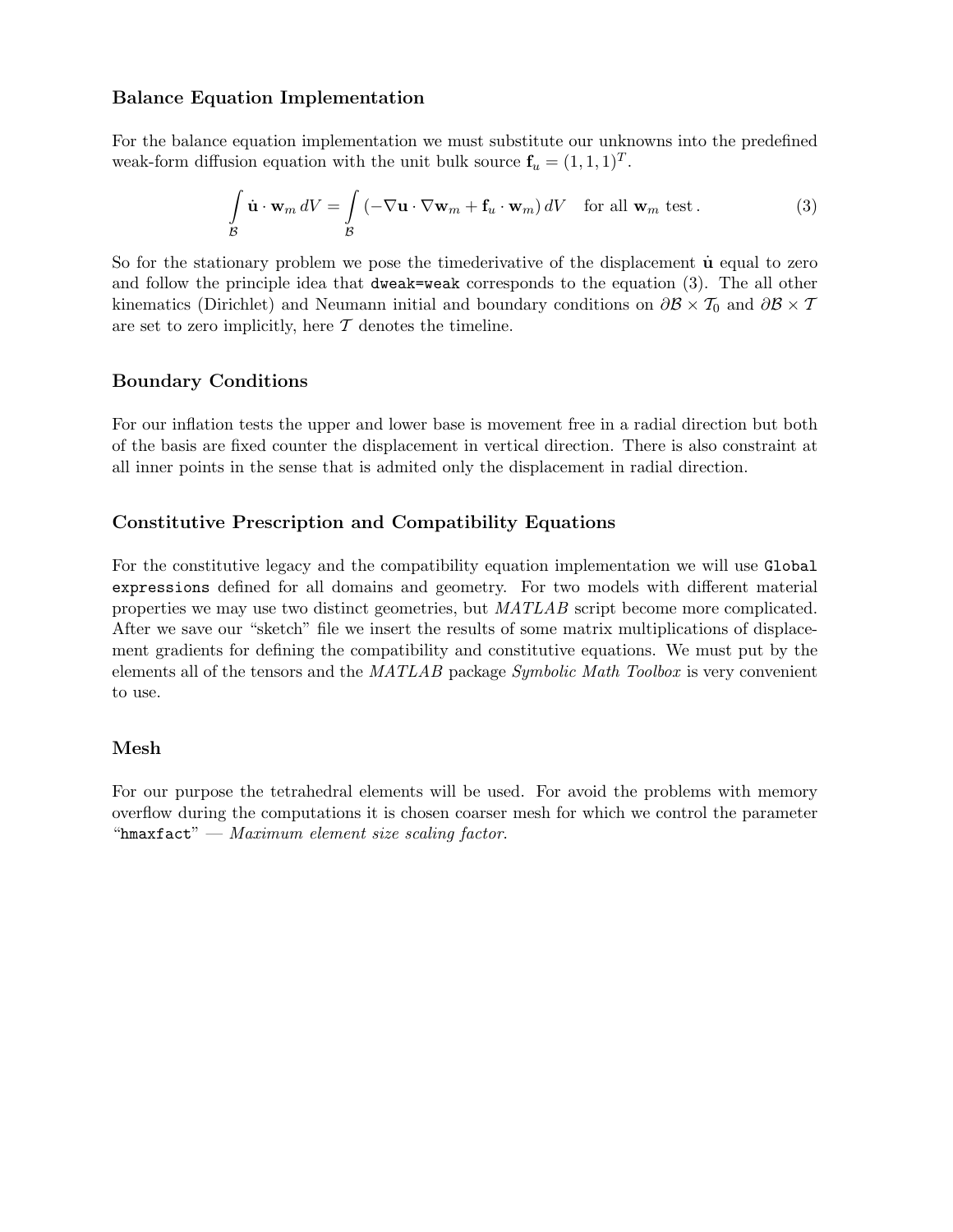## Balance Equation Implementation

For the balance equation implementation we must substitute our unknowns into the predefined weak-form diffusion equation with the unit bulk source  $f_u = (1, 1, 1)^T$ .

$$
\int_{\mathcal{B}} \dot{\mathbf{u}} \cdot \mathbf{w}_m dV = \int_{\mathcal{B}} \left( -\nabla \mathbf{u} \cdot \nabla \mathbf{w}_m + \mathbf{f}_u \cdot \mathbf{w}_m \right) dV \quad \text{for all } \mathbf{w}_m \text{ test.}
$$
\n(3)

So for the stationary problem we pose the timederivative of the displacement  $\dot{u}$  equal to zero and follow the principle idea that dweak=weak corresponds to the equation (3). The all other kinematics (Dirichlet) and Neumann initial and boundary conditions on  $\partial \mathcal{B} \times \mathcal{T}_0$  and  $\partial \mathcal{B} \times \mathcal{T}$ are set to zero implicitly, here  $\mathcal T$  denotes the timeline.

# Boundary Conditions

For our inflation tests the upper and lower base is movement free in a radial direction but both of the basis are fixed counter the displacement in vertical direction. There is also constraint at all inner points in the sense that is admited only the displacement in radial direction.

# Constitutive Prescription and Compatibility Equations

For the constitutive legacy and the compatibility equation implementation we will use Global expressions defined for all domains and geometry. For two models with different material properties we may use two distinct geometries, but MATLAB script become more complicated. After we save our "sketch" file we insert the results of some matrix multiplications of displacement gradients for defining the compatibility and constitutive equations. We must put by the elements all of the tensors and the MATLAB package Symbolic Math Toolbox is very convenient to use.

## Mesh

For our purpose the tetrahedral elements will be used. For avoid the problems with memory overflow during the computations it is chosen coarser mesh for which we control the parameter "hmaxfact" — Maximum element size scaling factor.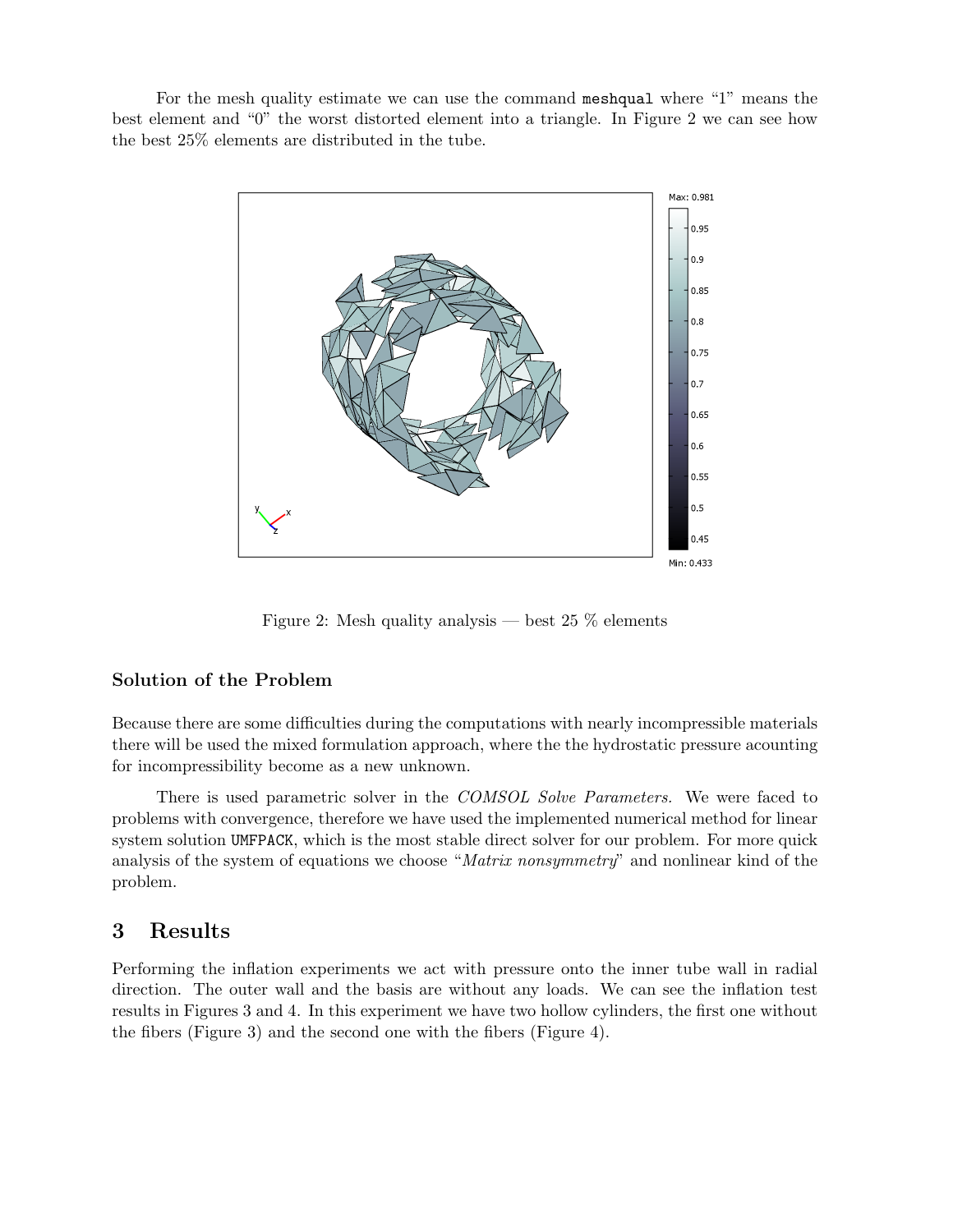For the mesh quality estimate we can use the command meshqual where "1" means the best element and "0" the worst distorted element into a triangle. In Figure 2 we can see how the best 25% elements are distributed in the tube.



Figure 2: Mesh quality analysis — best  $25\%$  elements

#### Solution of the Problem

Because there are some difficulties during the computations with nearly incompressible materials there will be used the mixed formulation approach, where the the hydrostatic pressure acounting for incompressibility become as a new unknown.

There is used parametric solver in the *COMSOL Solve Parameters*. We were faced to problems with convergence, therefore we have used the implemented numerical method for linear system solution UMFPACK, which is the most stable direct solver for our problem. For more quick analysis of the system of equations we choose "Matrix nonsymmetry" and nonlinear kind of the problem.

# 3 Results

Performing the inflation experiments we act with pressure onto the inner tube wall in radial direction. The outer wall and the basis are without any loads. We can see the inflation test results in Figures 3 and 4. In this experiment we have two hollow cylinders, the first one without the fibers (Figure 3) and the second one with the fibers (Figure 4).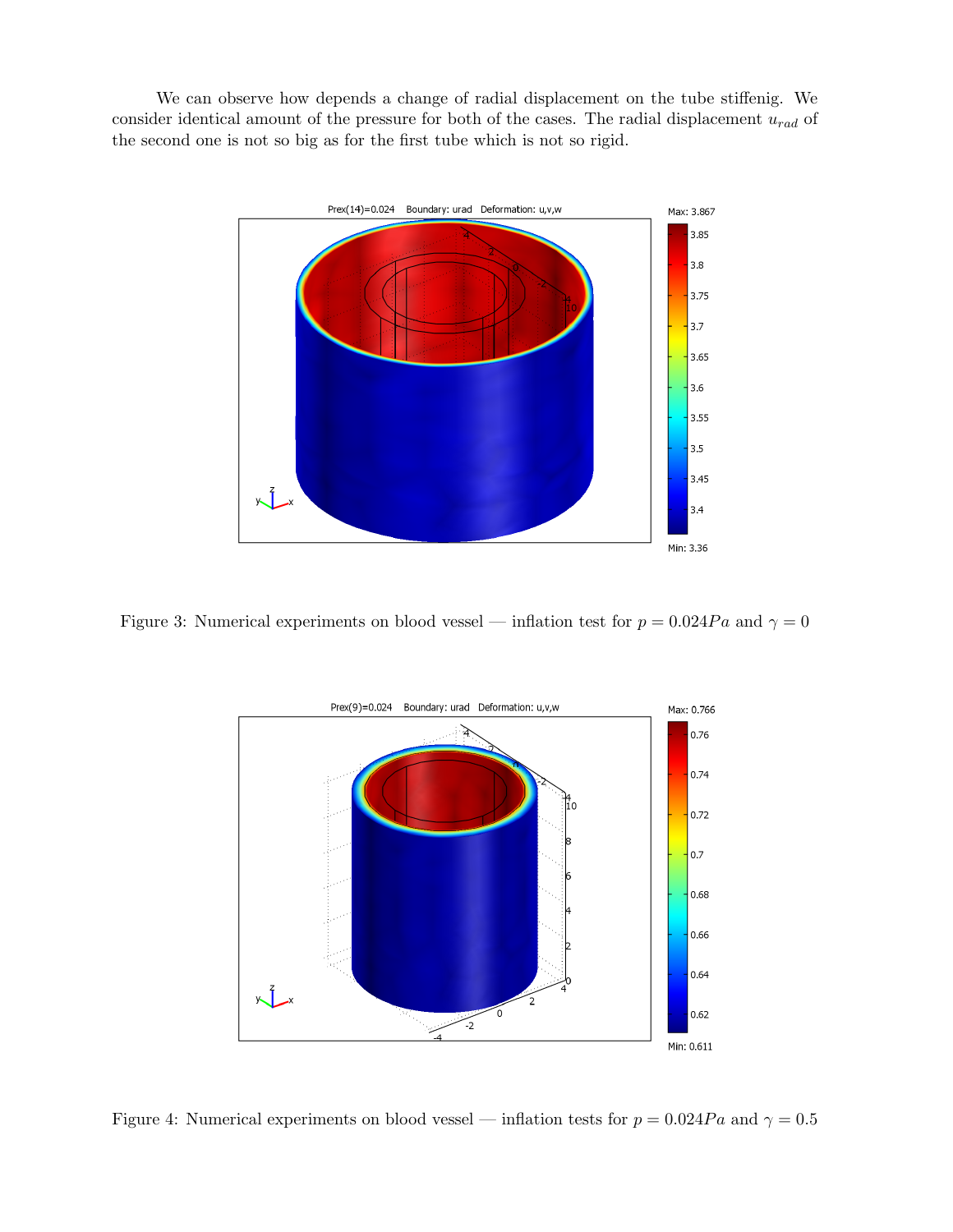We can observe how depends a change of radial displacement on the tube stiffenig. We consider identical amount of the pressure for both of the cases. The radial displacement  $u_{rad}$  of the second one is not so big as for the first tube which is not so rigid.



Figure 3: Numerical experiments on blood vessel — inflation test for  $p = 0.024Pa$  and  $\gamma = 0$ 



Figure 4: Numerical experiments on blood vessel — inflation tests for  $p = 0.024Pa$  and  $\gamma = 0.5$